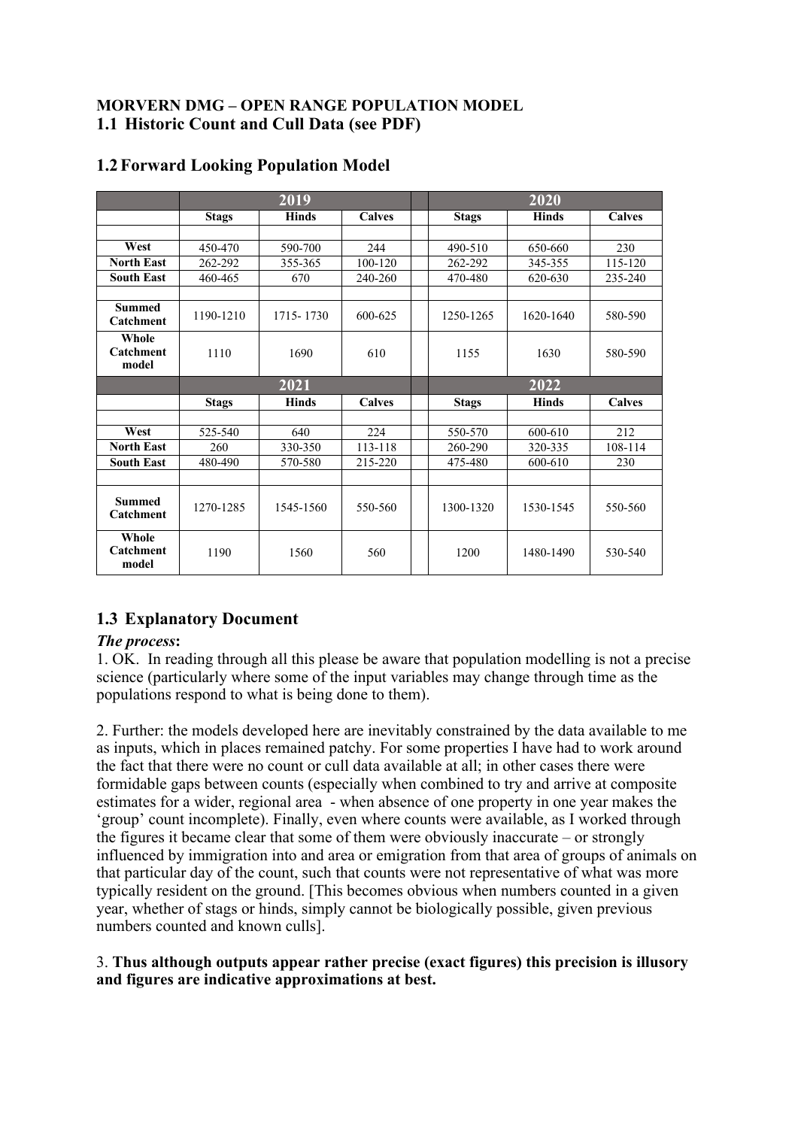## **MORVERN DMG – OPEN RANGE POPULATION MODEL 1.1 Historic Count and Cull Data (see PDF)**

|                                   | 2019         |              |               | 2020         |              |               |
|-----------------------------------|--------------|--------------|---------------|--------------|--------------|---------------|
|                                   | <b>Stags</b> | <b>Hinds</b> | <b>Calves</b> | <b>Stags</b> | <b>Hinds</b> | <b>Calves</b> |
|                                   |              |              |               |              |              |               |
| West                              | 450-470      | 590-700      | 2.44          | 490-510      | 650-660      | 230           |
| <b>North East</b>                 | 262-292      | 355-365      | $100 - 120$   | 262-292      | 345-355      | 115-120       |
| <b>South East</b>                 | 460-465      | 670          | 240-260       | 470-480      | 620-630      | 235-240       |
|                                   |              |              |               |              |              |               |
| <b>Summed</b><br><b>Catchment</b> | 1190-1210    | 1715-1730    | 600-625       | 1250-1265    | 1620-1640    | 580-590       |
| Whole<br>Catchment<br>model       | 1110         | 1690         | 610           | 1155         | 1630         | 580-590       |
|                                   | 2021         |              |               | 2022         |              |               |
|                                   | <b>Stags</b> | <b>Hinds</b> | <b>Calves</b> | <b>Stags</b> | <b>Hinds</b> | <b>Calves</b> |
|                                   |              |              |               |              |              |               |
| West                              | 525-540      | 640          | 224           | 550-570      | 600-610      | 212           |
| <b>North East</b>                 | 260          | 330-350      | 113-118       | 260-290      | 320-335      | 108-114       |
| <b>South East</b>                 | 480-490      | 570-580      | 215-220       | 475-480      | 600-610      | 230           |
|                                   |              |              |               |              |              |               |
| <b>Summed</b><br>Catchment        | 1270-1285    | 1545-1560    | 550-560       | 1300-1320    | 1530-1545    | 550-560       |
| Whole<br>Catchment<br>model       | 1190         | 1560         | 560           | 1200         | 1480-1490    | 530-540       |

## **1.2Forward Looking Population Model**

# **1.3 Explanatory Document**

## *The process***:**

1. OK. In reading through all this please be aware that population modelling is not a precise science (particularly where some of the input variables may change through time as the populations respond to what is being done to them).

2. Further: the models developed here are inevitably constrained by the data available to me as inputs, which in places remained patchy. For some properties I have had to work around the fact that there were no count or cull data available at all; in other cases there were formidable gaps between counts (especially when combined to try and arrive at composite estimates for a wider, regional area - when absence of one property in one year makes the 'group' count incomplete). Finally, even where counts were available, as I worked through the figures it became clear that some of them were obviously inaccurate – or strongly influenced by immigration into and area or emigration from that area of groups of animals on that particular day of the count, such that counts were not representative of what was more typically resident on the ground. [This becomes obvious when numbers counted in a given year, whether of stags or hinds, simply cannot be biologically possible, given previous numbers counted and known culls].

## 3. **Thus although outputs appear rather precise (exact figures) this precision is illusory and figures are indicative approximations at best.**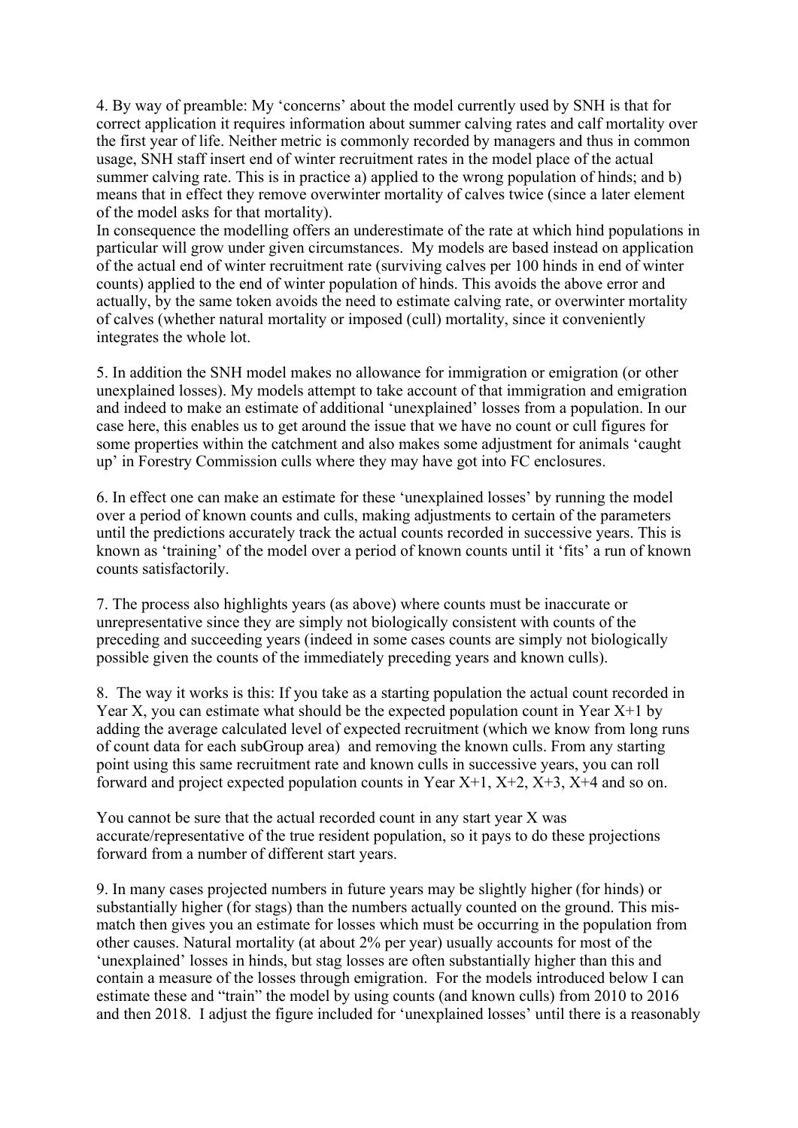4. By way of preamble: My 'concerns' about the model currently used by SNH is that for correct application it requires information about summer calving rates and calf mortality over the first year of life. Neither metric is commonly recorded by managers and thus in common usage, SNH staff insert end of winter recruitment rates in the model place of the actual summer calving rate. This is in practice a) applied to the wrong population of hinds; and b) means that in effect they remove overwinter mortality of calves twice (since a later element of the model asks for that mortality).

In consequence the modelling offers an underestimate of the rate at which hind populations in particular will grow under given circumstances. My models are based instead on application of the actual end of winter recruitment rate (surviving calves per 100 hinds in end of winter counts) applied to the end of winter population of hinds. This avoids the above error and actually, by the same token avoids the need to estimate calving rate, or overwinter mortality of calves (whether natural mortality or imposed (cull) mortality, since it conveniently integrates the whole lot.

5. In addition the SNH model makes no allowance for immigration or emigration (or other unexplained losses). My models attempt to take account of that immigration and emigration and indeed to make an estimate of additional 'unexplained' losses from a population. In our case here, this enables us to get around the issue that we have no count or cull figures for some properties within the catchment and also makes some adjustment for animals 'caught up' in Forestry Commission culls where they may have got into FC enclosures.

6. In effect one can make an estimate for these 'unexplained losses' by running the model over a period of known counts and culls, making adjustments to certain of the parameters until the predictions accurately track the actual counts recorded in successive years. This is known as 'training' of the model over a period of known counts until it 'fits' a run of known counts satisfactorily.

7. The process also highlights years (as above) where counts must be inaccurate or unrepresentative since they are simply not biologically consistent with counts of the preceding and succeeding years (indeed in some cases counts are simply not biologically possible given the counts of the immediately preceding years and known culls).

8. The way it works is this: If you take as a starting population the actual count recorded in Year X, you can estimate what should be the expected population count in Year  $X+1$  by adding the average calculated level of expected recruitment (which we know from long runs of count data for each subGroup area) and removing the known culls. From any starting point using this same recruitment rate and known culls in successive years, you can roll forward and project expected population counts in Year  $X+1$ ,  $X+2$ ,  $X+3$ ,  $X+4$  and so on.

You cannot be sure that the actual recorded count in any start year X was accurate/representative of the true resident population, so it pays to do these projections forward from a number of different start years.

9. In many cases projected numbers in future years may be slightly higher (for hinds) or substantially higher (for stags) than the numbers actually counted on the ground. This mismatch then gives you an estimate for losses which must be occurring in the population from other causes. Natural mortality (at about 2% per year) usually accounts for most of the 'unexplained' losses in hinds, but stag losses are often substantially higher than this and contain a measure of the losses through emigration. For the models introduced below I can estimate these and "train" the model by using counts (and known culls) from 2010 to 2016 and then 2018. I adjust the figure included for 'unexplained losses' until there is a reasonably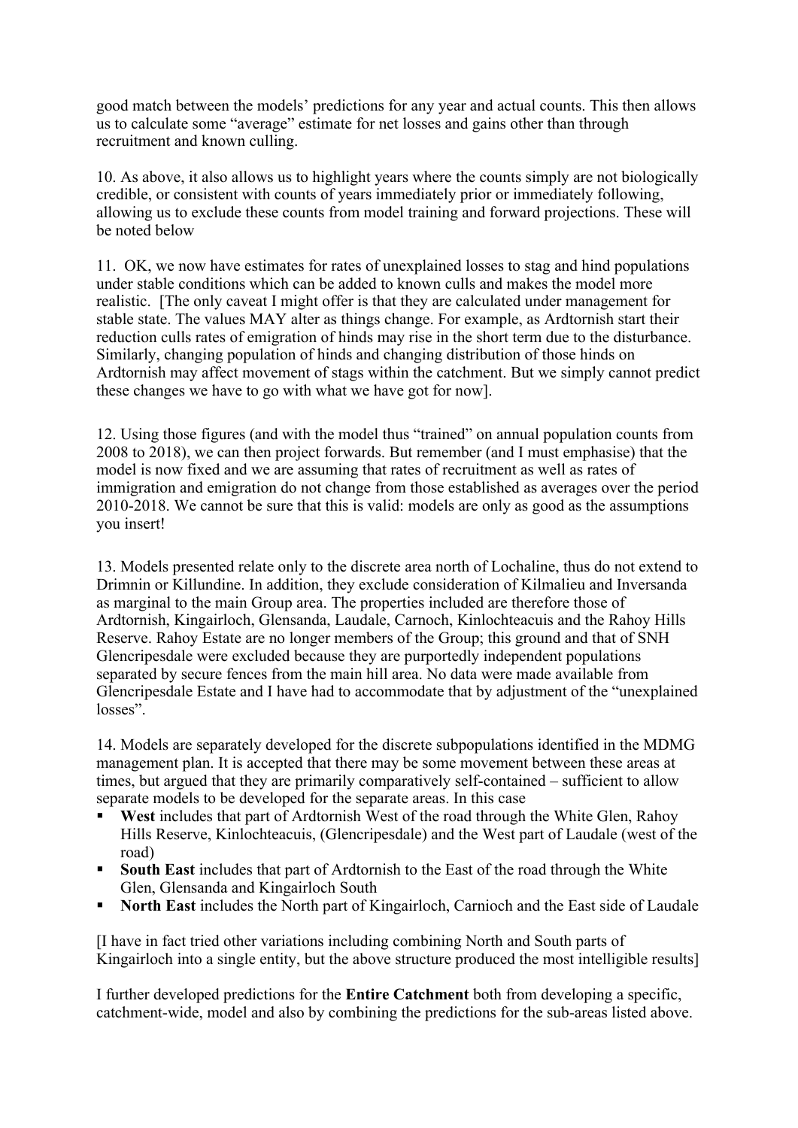good match between the models' predictions for any year and actual counts. This then allows us to calculate some "average" estimate for net losses and gains other than through recruitment and known culling.

10. As above, it also allows us to highlight years where the counts simply are not biologically credible, or consistent with counts of years immediately prior or immediately following, allowing us to exclude these counts from model training and forward projections. These will be noted below

11. OK, we now have estimates for rates of unexplained losses to stag and hind populations under stable conditions which can be added to known culls and makes the model more realistic. [The only caveat I might offer is that they are calculated under management for stable state. The values MAY alter as things change. For example, as Ardtornish start their reduction culls rates of emigration of hinds may rise in the short term due to the disturbance. Similarly, changing population of hinds and changing distribution of those hinds on Ardtornish may affect movement of stags within the catchment. But we simply cannot predict these changes we have to go with what we have got for now].

12. Using those figures (and with the model thus "trained" on annual population counts from 2008 to 2018), we can then project forwards. But remember (and I must emphasise) that the model is now fixed and we are assuming that rates of recruitment as well as rates of immigration and emigration do not change from those established as averages over the period 2010-2018. We cannot be sure that this is valid: models are only as good as the assumptions you insert!

13. Models presented relate only to the discrete area north of Lochaline, thus do not extend to Drimnin or Killundine. In addition, they exclude consideration of Kilmalieu and Inversanda as marginal to the main Group area. The properties included are therefore those of Ardtornish, Kingairloch, Glensanda, Laudale, Carnoch, Kinlochteacuis and the Rahoy Hills Reserve. Rahoy Estate are no longer members of the Group; this ground and that of SNH Glencripesdale were excluded because they are purportedly independent populations separated by secure fences from the main hill area. No data were made available from Glencripesdale Estate and I have had to accommodate that by adjustment of the "unexplained losses".

14. Models are separately developed for the discrete subpopulations identified in the MDMG management plan. It is accepted that there may be some movement between these areas at times, but argued that they are primarily comparatively self-contained – sufficient to allow separate models to be developed for the separate areas. In this case

- **West** includes that part of Ardtornish West of the road through the White Glen, Rahoy Hills Reserve, Kinlochteacuis, (Glencripesdale) and the West part of Laudale (west of the road)
- § **South East** includes that part of Ardtornish to the East of the road through the White Glen, Glensanda and Kingairloch South
- § **North East** includes the North part of Kingairloch, Carnioch and the East side of Laudale

[I have in fact tried other variations including combining North and South parts of Kingairloch into a single entity, but the above structure produced the most intelligible results]

I further developed predictions for the **Entire Catchment** both from developing a specific, catchment-wide, model and also by combining the predictions for the sub-areas listed above.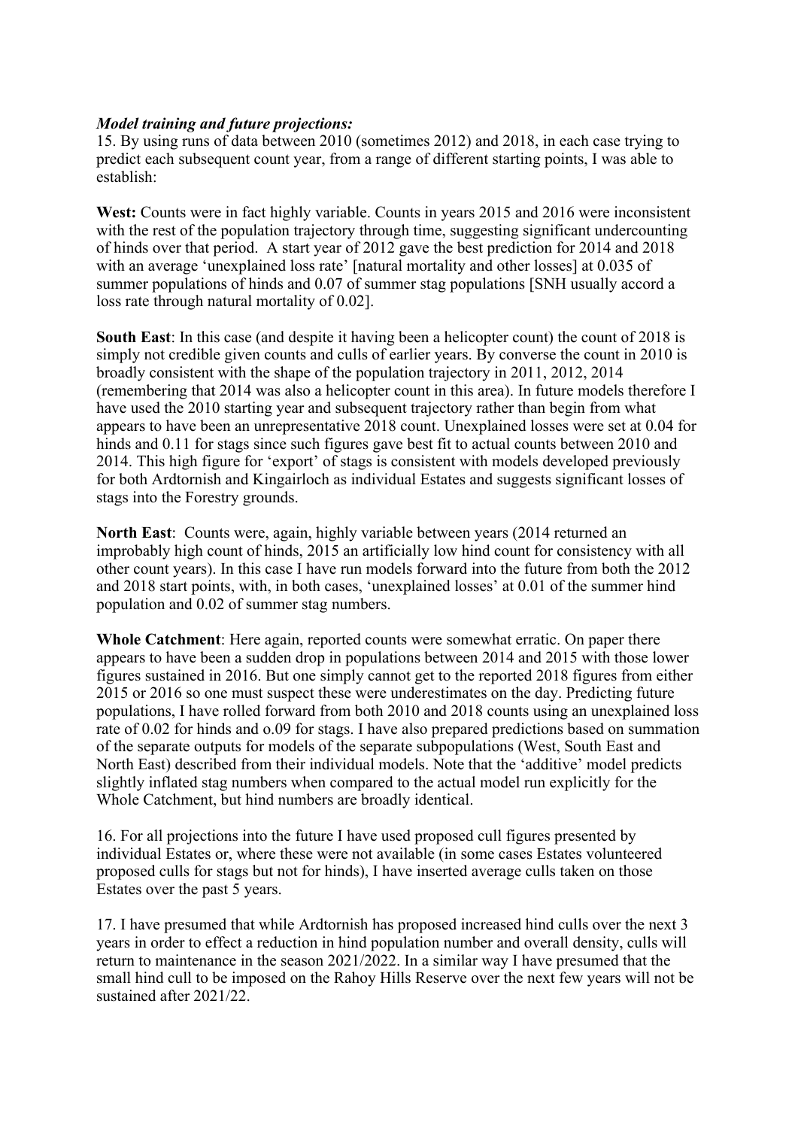#### *Model training and future projections:*

15. By using runs of data between 2010 (sometimes 2012) and 2018, in each case trying to predict each subsequent count year, from a range of different starting points, I was able to establish:

**West:** Counts were in fact highly variable. Counts in years 2015 and 2016 were inconsistent with the rest of the population trajectory through time, suggesting significant undercounting of hinds over that period. A start year of 2012 gave the best prediction for 2014 and 2018 with an average 'unexplained loss rate' [natural mortality and other losses] at 0.035 of summer populations of hinds and 0.07 of summer stag populations [SNH usually accord a loss rate through natural mortality of 0.02].

**South East**: In this case (and despite it having been a helicopter count) the count of 2018 is simply not credible given counts and culls of earlier years. By converse the count in 2010 is broadly consistent with the shape of the population trajectory in 2011, 2012, 2014 (remembering that 2014 was also a helicopter count in this area). In future models therefore I have used the 2010 starting year and subsequent trajectory rather than begin from what appears to have been an unrepresentative 2018 count. Unexplained losses were set at 0.04 for hinds and 0.11 for stags since such figures gave best fit to actual counts between 2010 and 2014. This high figure for 'export' of stags is consistent with models developed previously for both Ardtornish and Kingairloch as individual Estates and suggests significant losses of stags into the Forestry grounds.

**North East**: Counts were, again, highly variable between years (2014 returned an improbably high count of hinds, 2015 an artificially low hind count for consistency with all other count years). In this case I have run models forward into the future from both the 2012 and 2018 start points, with, in both cases, 'unexplained losses' at 0.01 of the summer hind population and 0.02 of summer stag numbers.

**Whole Catchment**: Here again, reported counts were somewhat erratic. On paper there appears to have been a sudden drop in populations between 2014 and 2015 with those lower figures sustained in 2016. But one simply cannot get to the reported 2018 figures from either 2015 or 2016 so one must suspect these were underestimates on the day. Predicting future populations, I have rolled forward from both 2010 and 2018 counts using an unexplained loss rate of 0.02 for hinds and o.09 for stags. I have also prepared predictions based on summation of the separate outputs for models of the separate subpopulations (West, South East and North East) described from their individual models. Note that the 'additive' model predicts slightly inflated stag numbers when compared to the actual model run explicitly for the Whole Catchment, but hind numbers are broadly identical.

16. For all projections into the future I have used proposed cull figures presented by individual Estates or, where these were not available (in some cases Estates volunteered proposed culls for stags but not for hinds), I have inserted average culls taken on those Estates over the past 5 years.

17. I have presumed that while Ardtornish has proposed increased hind culls over the next 3 years in order to effect a reduction in hind population number and overall density, culls will return to maintenance in the season 2021/2022. In a similar way I have presumed that the small hind cull to be imposed on the Rahoy Hills Reserve over the next few years will not be sustained after 2021/22.